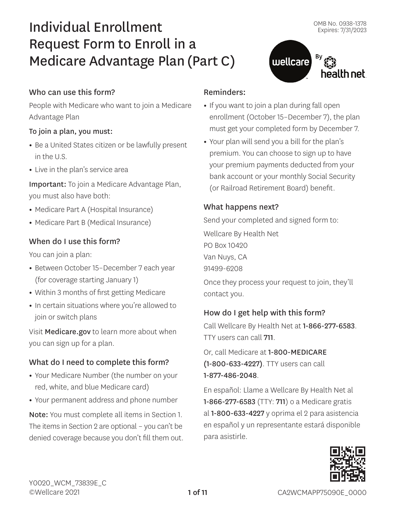health net

# Individual Enrollment Request Form to Enroll in a Medicare Advantage Plan (Part C)

## Who can use this form?

People with Medicare who want to join a Medicare Advantage Plan

## To join a plan, you must:

- **•** Be a United States citizen or be lawfully present in the U.S.
- **•** Live in the plan's service area

Important: To join a Medicare Advantage Plan, you must also have both:

- **•** Medicare Part A (Hospital Insurance)
- **•** Medicare Part B (Medical Insurance)

## When do I use this form?

You can join a plan:

- **•** Between October 15–December 7 each year (for coverage starting January 1)
- **•** Within 3 months of first getting Medicare
- **•** In certain situations where you're allowed to join or switch plans

Visit [Medicare.gov](www.Medicare.gov) to learn more about when you can sign up for a plan.

## What do I need to complete this form?

- **•** Your Medicare Number (the number on your red, white, and blue Medicare card)
- **•** Your permanent address and phone number

Note: You must complete all items in Section 1. The items in Section 2 are optional – you can't be denied coverage because you don't fill them out.

## Reminders:

**•** If you want to join a plan during fall open enrollment (October 15–December 7), the plan must get your completed form by December 7.

wellcare

**•** Your plan will send you a bill for the plan's premium. You can choose to sign up to have your premium payments deducted from your bank account or your monthly Social Security (or Railroad Retirement Board) benefit.

## What happens next?

Send your completed and signed form to:

Wellcare By Health Net PO Box 10420 Van Nuys, CA 91499-6208

Once they process your request to join, they'll contact you.

## How do I get help with this form?

Call Wellcare By Health Net at 1-866-277-6583. TTY users can call 711.

Or, call Medicare at 1-800-MEDICARE (1-800-633-4227). TTY users can call 1-877-486-2048.

En español: Llame a Wellcare By Health Net al 1-866-277-6583 (TTY: 711) o a Medicare gratis al 1-800-633-4227 y oprima el 2 para asistencia en español y un representante estará disponible para asistirle.

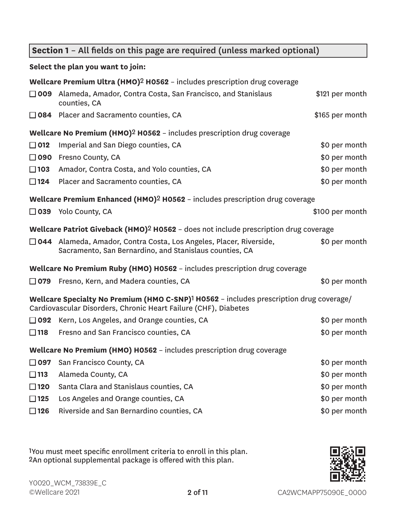## **Section 1** – All fields on this page are required (unless marked optional)

## **Select the plan you want to join:**

|                                                                                                                                                                        | Wellcare Premium Ultra (HMO) <sup>2</sup> H0562 - includes prescription drug coverage                                           |                 |  |  |  |  |
|------------------------------------------------------------------------------------------------------------------------------------------------------------------------|---------------------------------------------------------------------------------------------------------------------------------|-----------------|--|--|--|--|
| □ 009                                                                                                                                                                  | Alameda, Amador, Contra Costa, San Francisco, and Stanislaus<br>\$121 per month<br>counties, CA                                 |                 |  |  |  |  |
|                                                                                                                                                                        | $\Box$ 084 Placer and Sacramento counties, CA                                                                                   | \$165 per month |  |  |  |  |
|                                                                                                                                                                        | <b>Wellcare No Premium (HMO)<sup>2</sup> H0562</b> - includes prescription drug coverage                                        |                 |  |  |  |  |
| $\Box$ 012                                                                                                                                                             | Imperial and San Diego counties, CA                                                                                             | \$0 per month   |  |  |  |  |
| $\Box$ 090                                                                                                                                                             | Fresno County, CA                                                                                                               | \$0 per month   |  |  |  |  |
| $\square$ 103                                                                                                                                                          | Amador, Contra Costa, and Yolo counties, CA                                                                                     | \$0 per month   |  |  |  |  |
| $\Box$ 124                                                                                                                                                             | Placer and Sacramento counties, CA                                                                                              | \$0 per month   |  |  |  |  |
|                                                                                                                                                                        | Wellcare Premium Enhanced (HMO) <sup>2</sup> H0562 - includes prescription drug coverage                                        |                 |  |  |  |  |
|                                                                                                                                                                        | $\Box$ 039 Yolo County, CA                                                                                                      | \$100 per month |  |  |  |  |
| Wellcare Patriot Giveback (HMO) <sup>2</sup> H0562 - does not include prescription drug coverage                                                                       |                                                                                                                                 |                 |  |  |  |  |
|                                                                                                                                                                        | □ 044 Alameda, Amador, Contra Costa, Los Angeles, Placer, Riverside,<br>Sacramento, San Bernardino, and Stanislaus counties, CA | \$0 per month   |  |  |  |  |
|                                                                                                                                                                        | Wellcare No Premium Ruby (HMO) H0562 - includes prescription drug coverage                                                      |                 |  |  |  |  |
|                                                                                                                                                                        | $\Box$ 079 Fresno, Kern, and Madera counties, CA                                                                                | \$0 per month   |  |  |  |  |
| Wellcare Specialty No Premium (HMO C-SNP) <sup>1</sup> H0562 - includes prescription drug coverage/<br>Cardiovascular Disorders, Chronic Heart Failure (CHF), Diabetes |                                                                                                                                 |                 |  |  |  |  |
|                                                                                                                                                                        | $\Box$ 092 Kern, Los Angeles, and Orange counties, CA                                                                           | \$0 per month   |  |  |  |  |
| $\square$ 118                                                                                                                                                          | Fresno and San Francisco counties, CA                                                                                           | \$0 per month   |  |  |  |  |
|                                                                                                                                                                        | Wellcare No Premium (HMO) H0562 - includes prescription drug coverage                                                           |                 |  |  |  |  |
|                                                                                                                                                                        | $\Box$ 097 San Francisco County, CA                                                                                             | \$0 per month   |  |  |  |  |
| $\square$ 113                                                                                                                                                          | Alameda County, CA                                                                                                              | \$0 per month   |  |  |  |  |
| $\square$ 120                                                                                                                                                          | Santa Clara and Stanislaus counties, CA                                                                                         | \$0 per month   |  |  |  |  |
| $\square$ 125                                                                                                                                                          | Los Angeles and Orange counties, CA                                                                                             | \$0 per month   |  |  |  |  |
| $\square$ 126                                                                                                                                                          | Riverside and San Bernardino counties, CA                                                                                       | \$0 per month   |  |  |  |  |

1You must meet specific enrollment criteria to enroll in this plan. 2An optional supplemental package is offered with this plan.

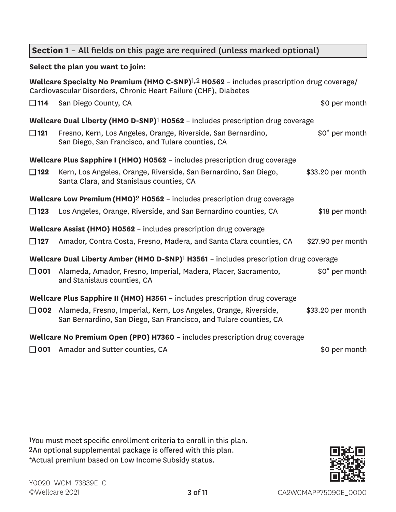## **Section 1** – All fields on this page are required (unless marked optional)

## **Select the plan you want to join:**

|                                                                            | Wellcare Specialty No Premium (HMO C-SNP) <sup>1,2</sup> H0562 - includes prescription drug coverage/<br>Cardiovascular Disorders, Chronic Heart Failure (CHF), Diabetes |                            |  |  |  |
|----------------------------------------------------------------------------|--------------------------------------------------------------------------------------------------------------------------------------------------------------------------|----------------------------|--|--|--|
| $\square$ 114                                                              | San Diego County, CA                                                                                                                                                     | \$0 per month              |  |  |  |
|                                                                            | Wellcare Dual Liberty (HMO D-SNP) <sup>1</sup> H0562 - includes prescription drug coverage                                                                               |                            |  |  |  |
| $\Box$ 121                                                                 | Fresno, Kern, Los Angeles, Orange, Riverside, San Bernardino,<br>San Diego, San Francisco, and Tulare counties, CA                                                       | \$0 <sup>*</sup> per month |  |  |  |
|                                                                            | Wellcare Plus Sapphire I (HMO) H0562 - includes prescription drug coverage                                                                                               |                            |  |  |  |
| $\Box$ 122                                                                 | Kern, Los Angeles, Orange, Riverside, San Bernardino, San Diego,<br>Santa Clara, and Stanislaus counties, CA                                                             | \$33.20 per month          |  |  |  |
|                                                                            | Wellcare Low Premium (HMO) <sup>2</sup> H0562 - includes prescription drug coverage                                                                                      |                            |  |  |  |
| $\Box$ 123                                                                 | Los Angeles, Orange, Riverside, and San Bernardino counties, CA                                                                                                          | \$18 per month             |  |  |  |
|                                                                            | Wellcare Assist (HMO) H0562 - includes prescription drug coverage                                                                                                        |                            |  |  |  |
| $\square$ 127                                                              | Amador, Contra Costa, Fresno, Madera, and Santa Clara counties, CA                                                                                                       | \$27.90 per month          |  |  |  |
|                                                                            | Wellcare Dual Liberty Amber (HMO D-SNP) <sup>1</sup> H3561 - includes prescription drug coverage                                                                         |                            |  |  |  |
| $\Box$ 001                                                                 | Alameda, Amador, Fresno, Imperial, Madera, Placer, Sacramento,<br>and Stanislaus counties, CA                                                                            | \$0 <sup>*</sup> per month |  |  |  |
|                                                                            | Wellcare Plus Sapphire II (HMO) H3561 - includes prescription drug coverage                                                                                              |                            |  |  |  |
|                                                                            | □ 002 Alameda, Fresno, Imperial, Kern, Los Angeles, Orange, Riverside,<br>San Bernardino, San Diego, San Francisco, and Tulare counties, CA                              | \$33.20 per month          |  |  |  |
| Wellcare No Premium Open (PPO) H7360 - includes prescription drug coverage |                                                                                                                                                                          |                            |  |  |  |
| $\Box$ 001                                                                 | Amador and Sutter counties, CA                                                                                                                                           | \$0 per month              |  |  |  |

1You must meet specific enrollment criteria to enroll in this plan. 2An optional supplemental package is offered with this plan. \*Actual premium based on Low Income Subsidy status.

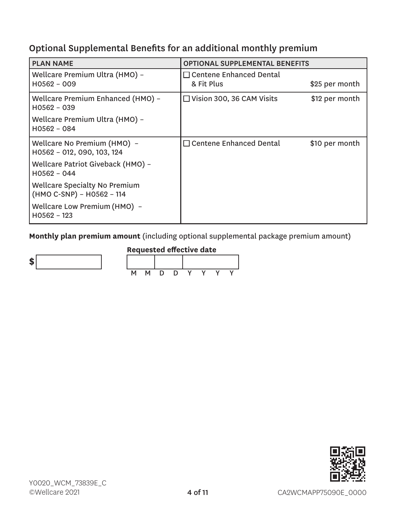## Optional Supplemental Benefits for an additional monthly premium

| <b>PLAN NAME</b>                                                  | <b>OPTIONAL SUPPLEMENTAL BENEFITS</b>        |                |  |  |
|-------------------------------------------------------------------|----------------------------------------------|----------------|--|--|
| Wellcare Premium Ultra (HMO) -<br>H0562 - 009                     | $\Box$ Centene Enhanced Dental<br>& Fit Plus | \$25 per month |  |  |
| Wellcare Premium Enhanced (HMO) -<br>H0562 - 039                  | $\Box$ Vision 300, 36 CAM Visits             | \$12 per month |  |  |
| Wellcare Premium Ultra (HMO) -<br>$H0562 - 084$                   |                                              |                |  |  |
| Wellcare No Premium (HMO) -<br>H0562 - 012, 090, 103, 124         | $\Box$ Centene Enhanced Dental               | \$10 per month |  |  |
| Wellcare Patriot Giveback (HMO) -<br>$H0562 - 044$                |                                              |                |  |  |
| <b>Wellcare Specialty No Premium</b><br>(HMO C-SNP) - H0562 - 114 |                                              |                |  |  |
| Wellcare Low Premium (HMO) -<br>$H0562 - 123$                     |                                              |                |  |  |

**Monthly plan premium amount** (including optional supplemental package premium amount)



## **Requested effective date**

| м | М | - 1) | Ð |  |  |
|---|---|------|---|--|--|

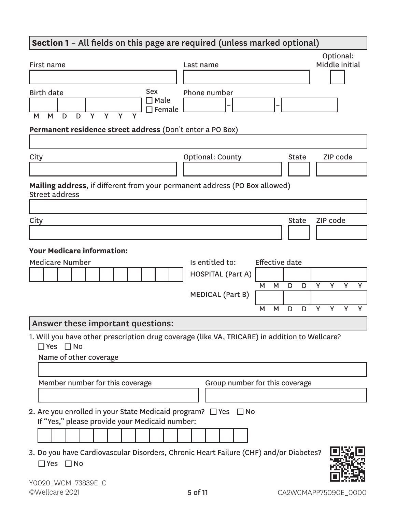## **Section 1** – All fields on this page are required (unless marked optional) First name **Last name** Optional: Middle initial Birth date M M D D Y Y Y Y Sex  $\Box$  Male  $\Box$  Female Phone number **– – Permanent residence street address** (Don't enter a PO Box) City City City College City County County City State ZIP code **Mailing address**, if different from your permanent address (PO Box allowed) Street address City and the Community of the Community of the Community of the Community of the Community of the Community of **Your Medicare information:** Medicare Number **Is entitled to:** Effective date HOSPITAL (Part A) M M D D Y Y Y Y MEDICAL (Part B) M M D D Y Y Y Y Answer these important questions: 1. Will you have other prescription drug coverage (like VA, TRICARE) in addition to Wellcare? ■ Yes ■ No Name of other coverage Member number for this coverage Group number for this coverage

- 2. Are you enrolled in your State Medicaid program?  $\Box$  Yes  $\Box$  No If "Yes," please provide your Medicaid number:
	-
- 3. Do you have Cardiovascular Disorders, Chronic Heart Failure (CHF) and/or Diabetes? ■ Yes ■ No

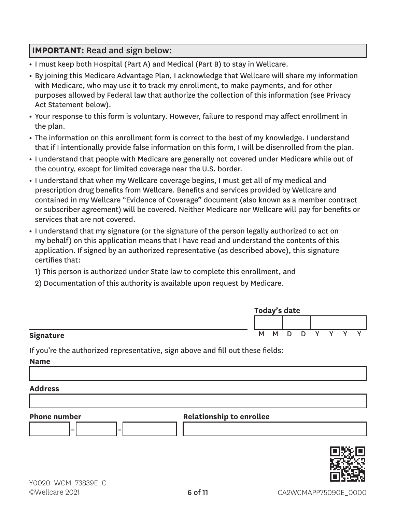## **IMPORTANT:** Read and sign below:

- **•** I must keep both Hospital (Part A) and Medical (Part B) to stay in Wellcare.
- **•** By joining this Medicare Advantage Plan, I acknowledge that Wellcare will share my information with Medicare, who may use it to track my enrollment, to make payments, and for other purposes allowed by Federal law that authorize the collection of this information (see Privacy Act Statement below).
- **•** Your response to this form is voluntary. However, failure to respond may affect enrollment in the plan.
- **•** The information on this enrollment form is correct to the best of my knowledge. I understand that if I intentionally provide false information on this form, I will be disenrolled from the plan.
- **•** I understand that people with Medicare are generally not covered under Medicare while out of the country, except for limited coverage near the U.S. border.
- **•** I understand that when my Wellcare coverage begins, I must get all of my medical and prescription drug benefits from Wellcare. Benefits and services provided by Wellcare and contained in my Wellcare "Evidence of Coverage" document (also known as a member contract or subscriber agreement) will be covered. Neither Medicare nor Wellcare will pay for benefits or services that are not covered.
- **•** I understand that my signature (or the signature of the person legally authorized to act on my behalf) on this application means that I have read and understand the contents of this application. If signed by an authorized representative (as described above), this signature certifies that:
	- 1) This person is authorized under State law to complete this enrollment, and
	- 2) Documentation of this authority is available upon request by Medicare.

|           | Today's date |     |        |   |              |  |  |
|-----------|--------------|-----|--------|---|--------------|--|--|
|           |              |     |        |   |              |  |  |
| Signature |              | M M | $\Box$ | D | $\checkmark$ |  |  |

If you're the authorized representative, sign above and fill out these fields:

**Name**

#### **Address**



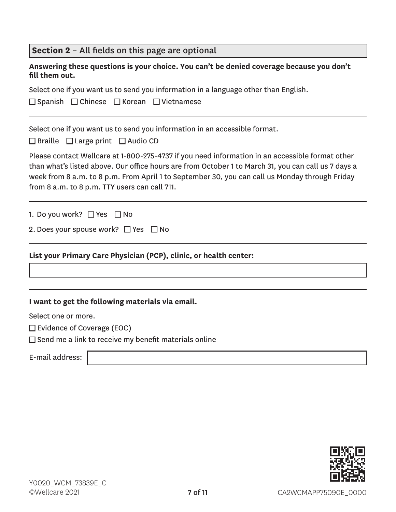| Section 2 - All fields on this page are optional |  |  |
|--------------------------------------------------|--|--|
|--------------------------------------------------|--|--|

|                | Answering these questions is your choice. You can't be denied coverage because you don't |
|----------------|------------------------------------------------------------------------------------------|
| fill them out. |                                                                                          |

Select one if you want us to send you information in a language other than English.

■ Spanish ■ Chinese ■ Korean ■ Vietnamese

Select one if you want us to send you information in an accessible format.

 $\Box$  Braille  $\Box$  Large print  $\Box$  Audio CD

Please contact Wellcare at 1-800-275-4737 if you need information in an accessible format other than what's listed above. Our office hours are from October 1 to March 31, you can call us 7 days a week from 8 a.m. to 8 p.m. From April 1 to September 30, you can call us Monday through Friday from 8 a.m. to 8 p.m. TTY users can call 711.

1. Do you work? □ Yes □ No

|  |  |  | 2. Does your spouse work? □ Yes □ No |  |  |
|--|--|--|--------------------------------------|--|--|
|--|--|--|--------------------------------------|--|--|

## **List your Primary Care Physician (PCP), clinic, or health center:**

#### **I want to get the following materials via email.**

Select one or more.

 $\square$  Evidence of Coverage (EOC)

 $\square$  Send me a link to receive my benefit materials online

E-mail address:

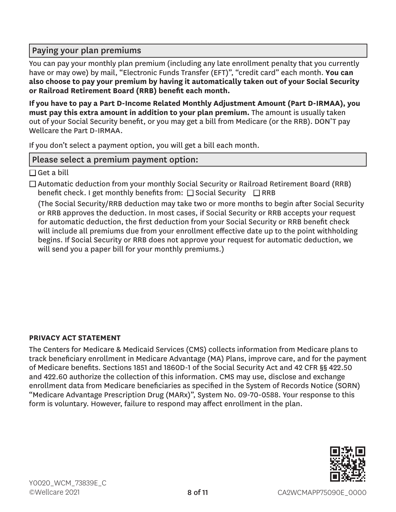## Paying your plan premiums

You can pay your monthly plan premium (including any late enrollment penalty that you currently have or may owe) by mail, "Electronic Funds Transfer (EFT)", "credit card" each month. **You can also choose to pay your premium by having it automatically taken out of your Social Security or Railroad Retirement Board (RRB) benefit each month.**

**If you have to pay a Part D-Income Related Monthly Adjustment Amount (Part D-IRMAA), you must pay this extra amount in addition to your plan premium.** The amount is usually taken out of your Social Security benefit, or you may get a bill from Medicare (or the RRB). DON'T pay Wellcare the Part D-IRMAA.

If you don't select a payment option, you will get a bill each month.

## Please select a premium payment option:

 $\Box$  Get a bill

 $\Box$  Automatic deduction from your monthly Social Security or Railroad Retirement Board (RRB) benefit check. I get monthly benefits from:  $\square$  Social Security  $\square$  RRB

(The Social Security/RRB deduction may take two or more months to begin after Social Security or RRB approves the deduction. In most cases, if Social Security or RRB accepts your request for automatic deduction, the first deduction from your Social Security or RRB benefit check will include all premiums due from your enrollment effective date up to the point withholding begins. If Social Security or RRB does not approve your request for automatic deduction, we will send you a paper bill for your monthly premiums.)

## **PRIVACY ACT STATEMENT**

The Centers for Medicare & Medicaid Services (CMS) collects information from Medicare plans to track beneficiary enrollment in Medicare Advantage (MA) Plans, improve care, and for the payment of Medicare benefits. Sections 1851 and 1860D-1 of the Social Security Act and 42 CFR §§ 422.50 and 422.60 authorize the collection of this information. CMS may use, disclose and exchange enrollment data from Medicare beneficiaries as specified in the System of Records Notice (SORN) "Medicare Advantage Prescription Drug (MARx)", System No. 09-70-0588. Your response to this form is voluntary. However, failure to respond may affect enrollment in the plan.

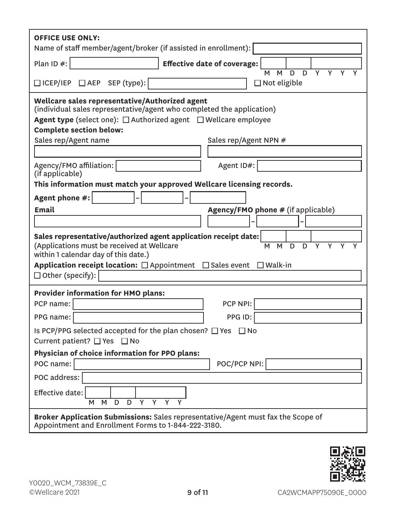| <b>OFFICE USE ONLY:</b><br>Name of staff member/agent/broker (if assisted in enrollment):                                                                                                                                                                                                                  |  |  |  |  |
|------------------------------------------------------------------------------------------------------------------------------------------------------------------------------------------------------------------------------------------------------------------------------------------------------------|--|--|--|--|
| Plan ID $#$ :<br><b>Effective date of coverage:</b><br>$\overline{Y}$<br>$\overline{D}$<br>$\overline{Y}$<br>M<br>D<br>M                                                                                                                                                                                   |  |  |  |  |
| □ ICEP/IEP □ AEP SEP (type):<br>$\Box$ Not eligible                                                                                                                                                                                                                                                        |  |  |  |  |
| Wellcare sales representative/Authorized agent<br>(individual sales representative/agent who completed the application)<br><b>Agent type</b> (select one): $\Box$ Authorized agent $\Box$ Wellcare employee<br><b>Complete section below:</b><br>Sales rep/Agent name<br>Sales rep/Agent NPN #             |  |  |  |  |
| Agent ID#:<br>Agency/FMO affiliation:<br>(if applicable)                                                                                                                                                                                                                                                   |  |  |  |  |
| This information must match your approved Wellcare licensing records.                                                                                                                                                                                                                                      |  |  |  |  |
| Agent phone #:                                                                                                                                                                                                                                                                                             |  |  |  |  |
| <b>Email</b><br><b>Agency/FMO phone # (if applicable)</b>                                                                                                                                                                                                                                                  |  |  |  |  |
|                                                                                                                                                                                                                                                                                                            |  |  |  |  |
| Sales representative/authorized agent application receipt date:<br>(Applications must be received at Wellcare<br>M<br>D<br>Y<br>M<br>D<br>Υ<br>within 1 calendar day of this date.)<br>Application receipt location: $\Box$ Appointment $\Box$ Sales event<br>$\square$ Walk-in<br>$\Box$ Other (specify): |  |  |  |  |
| <b>Provider information for HMO plans:</b>                                                                                                                                                                                                                                                                 |  |  |  |  |
| PCP NPI:<br>PCP name:                                                                                                                                                                                                                                                                                      |  |  |  |  |
| PPG ID:<br>PPG name:                                                                                                                                                                                                                                                                                       |  |  |  |  |
| Is PCP/PPG selected accepted for the plan chosen? $\Box$ Yes $\Box$ No<br>Current patient? □ Yes □ No                                                                                                                                                                                                      |  |  |  |  |
| Physician of choice information for PPO plans:                                                                                                                                                                                                                                                             |  |  |  |  |
| POC/PCP NPI:<br>POC name:                                                                                                                                                                                                                                                                                  |  |  |  |  |
| POC address:                                                                                                                                                                                                                                                                                               |  |  |  |  |
| Effective date:<br>M<br>D<br>Y<br>Y<br>Y<br>M<br>D                                                                                                                                                                                                                                                         |  |  |  |  |
| <b>Broker Application Submissions:</b> Sales representative/Agent must fax the Scope of<br>Appointment and Enrollment Forms to 1-844-222-3180.                                                                                                                                                             |  |  |  |  |

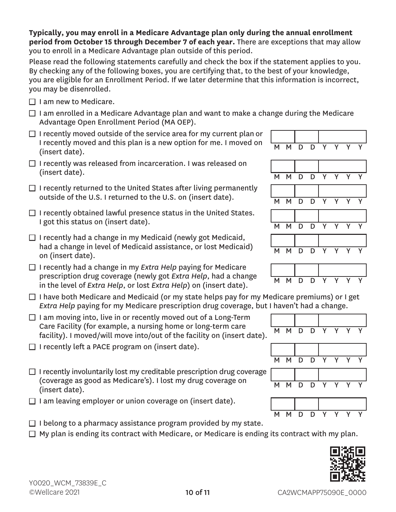**Typically, you may enroll in a Medicare Advantage plan only during the annual enrollment period from October 15 through December 7 of each year.** There are exceptions that may allow you to enroll in a Medicare Advantage plan outside of this period.

Please read the following statements carefully and check the box if the statement applies to you. By checking any of the following boxes, you are certifying that, to the best of your knowledge, you are eligible for an Enrollment Period. If we later determine that this information is incorrect, you may be disenrolled.

- $\Box$  I am new to Medicare.
- $\Box$  I am enrolled in a Medicare Advantage plan and want to make a change during the Medicare Advantage Open Enrollment Period (MA OEP).
- $\Box$  I recently moved outside of the service area for my current plan or I recently moved and this plan is a new option for me. I moved on  $\begin{array}{|l|} \hline \text{M} & \text{M} & \text{D} & \text{D} & \text{Y} & \text{Y} & \text{Y} & \text{Y} \ \hline \text{(insert date)}. \hline \end{array}$
- $\Box$  I recently was released from incarceration. I was released on (insert date).  $\begin{array}{ccccccc}\n& & & & & & & \n\hline\n& & & & & & & & \n\end{array}$  M M D D Y Y Y Y
- $\Box$  I recently returned to the United States after living permanently outside of the U.S. I returned to the U.S. on (insert date).  $M \times N$   $N \times N$
- $\Box$  I recently obtained lawful presence status in the United States. I got this status on (insert date).  $M \cup N$  M  $N \cup N$  D
- $\Box$  I recently had a change in my Medicaid (newly got Medicaid, had a change in level of Medicaid assistance, or lost Medicaid) <br>on (insert date). M M D D Y Y Y Y
- □ I recently had a change in my *Extra Help* paying for Medicare prescription drug coverage (newly got *Extra Help*, had a change prescription and *coverage* (newly got *Extra Help*, had a change MMMDD D in the level of *Extra Help*, or lost *Extra Help*) on (insert date).
- $\Box$  I have both Medicare and Medicaid (or my state helps pay for my Medicare premiums) or I get *Extra Help* paying for my Medicare prescription drug coverage, but I haven't had a change.
- $\Box$  I am moving into, live in or recently moved out of a Long-Term Care Facility (for example, a nursing home or long-term care Care ractity (for example, a hursing nome of long-term care  $\overline{M}$  M D D Y Y Y Y  $\overline{Y}$  facility). I moved/will move into/out of the facility on (insert date).
- $\Box$  I recently left a PACE program on (insert date).
- $\Box$  I recently involuntarily lost my creditable prescription drug coverage (coverage as good as Medicare's). I lost my drug coverage on <br>(insert date). M M D D Y Y Y Y
- $\Box$  I am leaving employer or union coverage on (insert date).
- $\Box$  I belong to a pharmacy assistance program provided by my state.  $\Box$  My plan is ending its contract with Medicare, or Medicare is ending its contract with my plan.

10 of 11